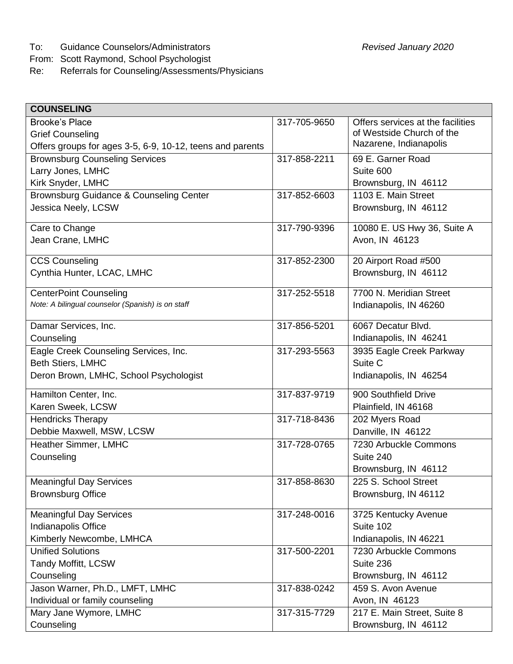To: Guidance Counselors/Administrators *Revised January 2020*

From: Scott Raymond, School Psychologist<br>Re: Referrals for Counseling/Assessments

Ē

Referrals for Counseling/Assessments/Physicians

| <b>COUNSELING</b>                                                                  |              |                                   |
|------------------------------------------------------------------------------------|--------------|-----------------------------------|
| <b>Brooke's Place</b>                                                              | 317-705-9650 | Offers services at the facilities |
| <b>Grief Counseling</b>                                                            |              | of Westside Church of the         |
| Offers groups for ages 3-5, 6-9, 10-12, teens and parents                          |              | Nazarene, Indianapolis            |
| <b>Brownsburg Counseling Services</b>                                              | 317-858-2211 | 69 E. Garner Road                 |
| Larry Jones, LMHC                                                                  |              | Suite 600                         |
| Kirk Snyder, LMHC                                                                  |              | Brownsburg, IN 46112              |
| Brownsburg Guidance & Counseling Center                                            | 317-852-6603 | 1103 E. Main Street               |
| Jessica Neely, LCSW                                                                |              | Brownsburg, IN 46112              |
| Care to Change                                                                     | 317-790-9396 | 10080 E. US Hwy 36, Suite A       |
| Jean Crane, LMHC                                                                   |              | Avon, IN 46123                    |
|                                                                                    |              |                                   |
| <b>CCS Counseling</b>                                                              | 317-852-2300 | 20 Airport Road #500              |
| Cynthia Hunter, LCAC, LMHC                                                         |              | Brownsburg, IN 46112              |
|                                                                                    |              |                                   |
| <b>CenterPoint Counseling</b><br>Note: A bilingual counselor (Spanish) is on staff | 317-252-5518 | 7700 N. Meridian Street           |
|                                                                                    |              | Indianapolis, IN 46260            |
| Damar Services, Inc.                                                               | 317-856-5201 | 6067 Decatur Blvd.                |
| Counseling                                                                         |              | Indianapolis, IN 46241            |
| Eagle Creek Counseling Services, Inc.                                              | 317-293-5563 | 3935 Eagle Creek Parkway          |
| Beth Stiers, LMHC                                                                  |              | Suite C                           |
| Deron Brown, LMHC, School Psychologist                                             |              | Indianapolis, IN 46254            |
| Hamilton Center, Inc.                                                              | 317-837-9719 | 900 Southfield Drive              |
| Karen Sweek, LCSW                                                                  |              | Plainfield, IN 46168              |
| <b>Hendricks Therapy</b>                                                           | 317-718-8436 | 202 Myers Road                    |
| Debbie Maxwell, MSW, LCSW                                                          |              | Danville, IN 46122                |
| Heather Simmer, LMHC                                                               | 317-728-0765 | 7230 Arbuckle Commons             |
| Counseling                                                                         |              | Suite 240                         |
|                                                                                    |              | Brownsburg, IN 46112              |
| <b>Meaningful Day Services</b>                                                     | 317-858-8630 | 225 S. School Street              |
| <b>Brownsburg Office</b>                                                           |              | Brownsburg, IN 46112              |
|                                                                                    |              |                                   |
| <b>Meaningful Day Services</b>                                                     | 317-248-0016 | 3725 Kentucky Avenue              |
| Indianapolis Office                                                                |              | Suite 102                         |
| Kimberly Newcombe, LMHCA                                                           |              | Indianapolis, IN 46221            |
| <b>Unified Solutions</b>                                                           | 317-500-2201 | 7230 Arbuckle Commons             |
| <b>Tandy Moffitt, LCSW</b>                                                         |              | Suite 236                         |
| Counseling                                                                         |              | Brownsburg, IN 46112              |
| Jason Warner, Ph.D., LMFT, LMHC                                                    | 317-838-0242 | 459 S. Avon Avenue                |
| Individual or family counseling                                                    |              | Avon, IN 46123                    |
| Mary Jane Wymore, LMHC                                                             | 317-315-7729 | 217 E. Main Street, Suite 8       |
| Counseling                                                                         |              | Brownsburg, IN 46112              |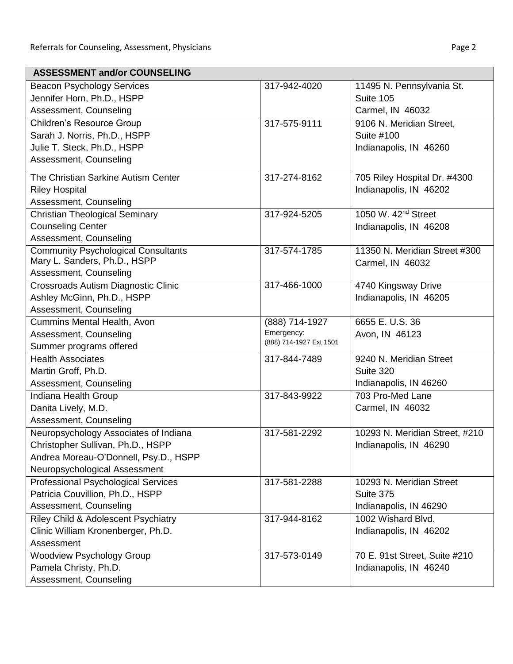| <b>ASSESSMENT and/or COUNSELING</b>        |                                       |                                 |
|--------------------------------------------|---------------------------------------|---------------------------------|
| <b>Beacon Psychology Services</b>          | 317-942-4020                          | 11495 N. Pennsylvania St.       |
| Jennifer Horn, Ph.D., HSPP                 |                                       | Suite 105                       |
| Assessment, Counseling                     |                                       | Carmel, IN 46032                |
| <b>Children's Resource Group</b>           | 317-575-9111                          | 9106 N. Meridian Street,        |
| Sarah J. Norris, Ph.D., HSPP               |                                       | Suite #100                      |
| Julie T. Steck, Ph.D., HSPP                |                                       | Indianapolis, IN 46260          |
| Assessment, Counseling                     |                                       |                                 |
| The Christian Sarkine Autism Center        | 317-274-8162                          | 705 Riley Hospital Dr. #4300    |
| <b>Riley Hospital</b>                      |                                       | Indianapolis, IN 46202          |
| Assessment, Counseling                     |                                       |                                 |
| <b>Christian Theological Seminary</b>      | 317-924-5205                          | 1050 W. 42 <sup>nd</sup> Street |
| <b>Counseling Center</b>                   |                                       | Indianapolis, IN 46208          |
| Assessment, Counseling                     |                                       |                                 |
| <b>Community Psychological Consultants</b> | 317-574-1785                          | 11350 N. Meridian Street #300   |
| Mary L. Sanders, Ph.D., HSPP               |                                       | Carmel, IN 46032                |
| Assessment, Counseling                     |                                       |                                 |
| Crossroads Autism Diagnostic Clinic        | 317-466-1000                          | 4740 Kingsway Drive             |
| Ashley McGinn, Ph.D., HSPP                 |                                       | Indianapolis, IN 46205          |
| Assessment, Counseling                     |                                       |                                 |
| Cummins Mental Health, Avon                | (888) 714-1927                        | 6655 E.U.S. 36                  |
| Assessment, Counseling                     | Emergency:<br>(888) 714-1927 Ext 1501 | Avon, IN 46123                  |
| Summer programs offered                    |                                       |                                 |
| <b>Health Associates</b>                   | 317-844-7489                          | 9240 N. Meridian Street         |
| Martin Groff, Ph.D.                        |                                       | Suite 320                       |
| Assessment, Counseling                     |                                       | Indianapolis, IN 46260          |
| Indiana Health Group                       | 317-843-9922                          | 703 Pro-Med Lane                |
| Danita Lively, M.D.                        |                                       | Carmel, IN 46032                |
| Assessment, Counseling                     |                                       |                                 |
| Neuropsychology Associates of Indiana      | 317-581-2292                          | 10293 N. Meridian Street, #210  |
| Christopher Sullivan, Ph.D., HSPP          |                                       | Indianapolis, IN 46290          |
| Andrea Moreau-O'Donnell, Psy.D., HSPP      |                                       |                                 |
| Neuropsychological Assessment              |                                       |                                 |
| Professional Psychological Services        | 317-581-2288                          | 10293 N. Meridian Street        |
| Patricia Couvillion, Ph.D., HSPP           |                                       | Suite 375                       |
| Assessment, Counseling                     |                                       | Indianapolis, IN 46290          |
| Riley Child & Adolescent Psychiatry        | 317-944-8162                          | 1002 Wishard Blvd.              |
| Clinic William Kronenberger, Ph.D.         |                                       | Indianapolis, IN 46202          |
| Assessment                                 |                                       |                                 |
| <b>Woodview Psychology Group</b>           | 317-573-0149                          | 70 E. 91st Street, Suite #210   |
| Pamela Christy, Ph.D.                      |                                       | Indianapolis, IN 46240          |
| Assessment, Counseling                     |                                       |                                 |